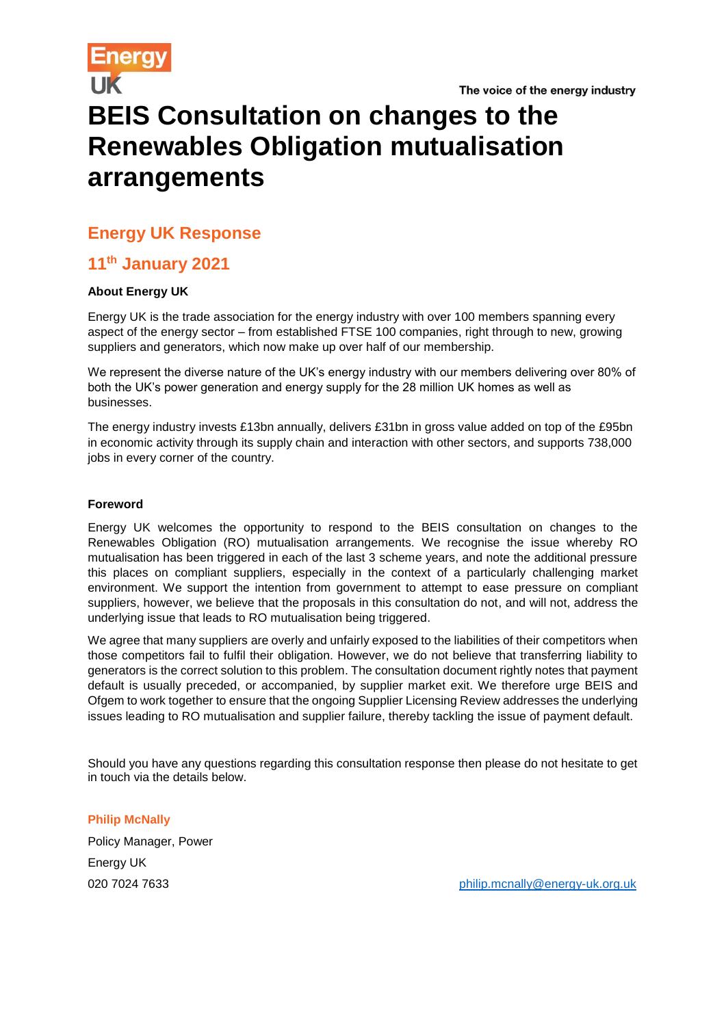# **BEIS Consultation on changes to the Renewables Obligation mutualisation arrangements**

### **Energy UK Response**

## **11th January 2021**

#### **About Energy UK**

Energy UK is the trade association for the energy industry with over 100 members spanning every aspect of the energy sector – from established FTSE 100 companies, right through to new, growing suppliers and generators, which now make up over half of our membership.

We represent the diverse nature of the UK's energy industry with our members delivering over 80% of both the UK's power generation and energy supply for the 28 million UK homes as well as businesses.

The energy industry invests £13bn annually, delivers £31bn in gross value added on top of the £95bn in economic activity through its supply chain and interaction with other sectors, and supports 738,000 jobs in every corner of the country.

#### **Foreword**

Energy UK welcomes the opportunity to respond to the BEIS consultation on changes to the Renewables Obligation (RO) mutualisation arrangements. We recognise the issue whereby RO mutualisation has been triggered in each of the last 3 scheme years, and note the additional pressure this places on compliant suppliers, especially in the context of a particularly challenging market environment. We support the intention from government to attempt to ease pressure on compliant suppliers, however, we believe that the proposals in this consultation do not, and will not, address the underlying issue that leads to RO mutualisation being triggered.

We agree that many suppliers are overly and unfairly exposed to the liabilities of their competitors when those competitors fail to fulfil their obligation. However, we do not believe that transferring liability to generators is the correct solution to this problem. The consultation document rightly notes that payment default is usually preceded, or accompanied, by supplier market exit. We therefore urge BEIS and Ofgem to work together to ensure that the ongoing Supplier Licensing Review addresses the underlying issues leading to RO mutualisation and supplier failure, thereby tackling the issue of payment default.

Should you have any questions regarding this consultation response then please do not hesitate to get in touch via the details below.

**Philip McNally** Policy Manager, Power Energy UK

020 7024 7633 [philip.mcnally@energy-uk.org.uk](mailto:philip.mcnally@energy-uk.org.uk)